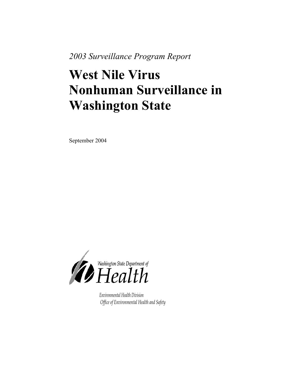*2003 Surveillance Program Report* 

# **West Nile Virus Nonhuman Surveillance in Washington State**

September 2004



*Environmental Health Division Office of Environmental Health and Safety*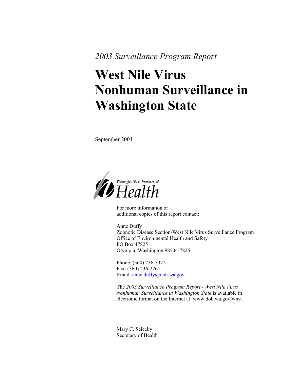*2003 Surveillance Program Report* 

# **West Nile Virus Nonhuman Surveillance in Washington State**

September 2004



For more information or additional copies of this report contact:

Anne Duffy Zoonotic Disease Section-West Nile Virus Surveillance Program Office of Environmental Health and Safety PO Box 47825 Olympia, Washington 98504-7825

Phone: (360) 236-3372 Fax: (360) 236-2261 Email: <u>[anne.duffy@doh.wa.gov](mailto:anne.duffy@doh.wa.gov)</u>

The *2003 Surveillance Program Report - West Nile Virus Nonhuman Surveillance in Washington State* is available in electronic format on the Internet at: www.doh.wa.gov/wnv.

Mary C. Selecky Secretary of Health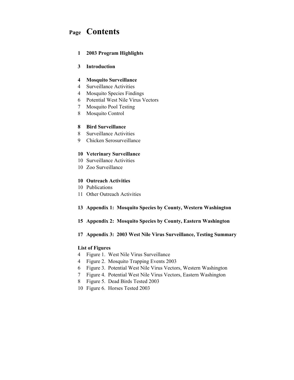# **Page Contents**

#### **1 2003 Program Highlights**

#### **3 Introduction**

#### **4 Mosquito Surveillance**

- 4 Surveillance Activities
- 4 Mosquito Species Findings
- 6 Potential West Nile Virus Vectors
- 7 Mosquito Pool Testing
- 8 Mosquito Control

#### **8 Bird Surveillance**

- 8 Surveillance Activities
- 9 Chicken Serosurveillance

#### **10 Veterinary Surveillance**

- 10 Surveillance Activities
- 10 Zoo Surveillance

#### **10 Outreach Activities**

- 10 Publications
- 11 Other Outreach Activities

#### **13 Appendix 1: Mosquito Species by County, Western Washington**

**15 Appendix 2: Mosquito Species by County, Eastern Washington** 

#### **17 Appendix 3: 2003 West Nile Virus Surveillance, Testing Summary**

#### **List of Figures**

- 4 Figure 1. West Nile Virus Surveillance
- 4 Figure 2. Mosquito Trapping Events 2003
- 6 Figure 3. Potential West Nile Virus Vectors, Western Washington
- 7 Figure 4. Potential West Nile Virus Vectors, Eastern Washington
- 8 Figure 5. Dead Birds Tested 2003
- 10 Figure 6. Horses Tested 2003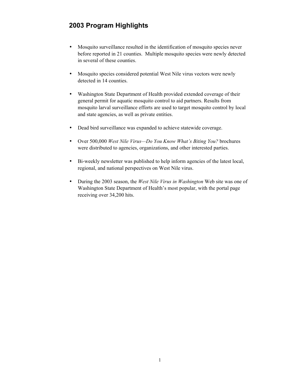# **2003 Program Highlights**

- Mosquito surveillance resulted in the identification of mosquito species never before reported in 21 counties. Multiple mosquito species were newly detected in several of these counties.
- Mosquito species considered potential West Nile virus vectors were newly detected in 14 counties.
- Washington State Department of Health provided extended coverage of their general permit for aquatic mosquito control to aid partners. Results from mosquito larval surveillance efforts are used to target mosquito control by local and state agencies, as well as private entities.
- Dead bird surveillance was expanded to achieve statewide coverage.
- Over 500,000 *West Nile Virus—Do You Know What's Biting You?* brochures were distributed to agencies, organizations, and other interested parties.
- Bi-weekly newsletter was published to help inform agencies of the latest local, regional, and national perspectives on West Nile virus.
- During the 2003 season, the *West Nile Virus in Washington* Web site was one of Washington State Department of Health's most popular, with the portal page receiving over 34,200 hits.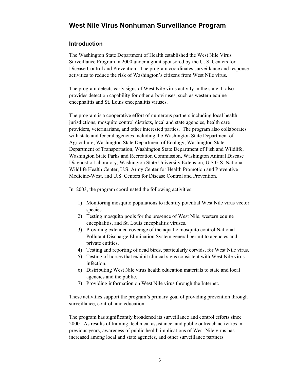## **West Nile Virus Nonhuman Surveillance Program**

#### **Introduction**

The Washington State Department of Health established the West Nile Virus Surveillance Program in 2000 under a grant sponsored by the U. S. Centers for Disease Control and Prevention. The program coordinates surveillance and response activities to reduce the risk of Washington's citizens from West Nile virus.

The program detects early signs of West Nile virus activity in the state. It also provides detection capability for other arboviruses, such as western equine encephalitis and St. Louis encephalitis viruses.

The program is a cooperative effort of numerous partners including local health jurisdictions, mosquito control districts, local and state agencies, health care providers, veterinarians, and other interested parties. The program also collaborates with state and federal agencies including the Washington State Department of Agriculture, Washington State Department of Ecology, Washington State Department of Transportation, Washington State Department of Fish and Wildlife, Washington State Parks and Recreation Commission, Washington Animal Disease Diagnostic Laboratory, Washington State University Extension, U.S.G.S. National Wildlife Health Center, U.S. Army Center for Health Promotion and Preventive Medicine-West, and U.S. Centers for Disease Control and Prevention.

In 2003, the program coordinated the following activities:

- 1) Monitoring mosquito populations to identify potential West Nile virus vector species.
- 2) Testing mosquito pools for the presence of West Nile, western equine encephalitis, and St. Louis encephalitis viruses.
- 3) Providing extended coverage of the aquatic mosquito control National Pollutant Discharge Elimination System general permit to agencies and private entities.
- 4) Testing and reporting of dead birds, particularly corvids, for West Nile virus.
- 5) Testing of horses that exhibit clinical signs consistent with West Nile virus infection.
- 6) Distributing West Nile virus health education materials to state and local agencies and the public.
- 7) Providing information on West Nile virus through the Internet.

These activities support the program's primary goal of providing prevention through surveillance, control, and education.

The program has significantly broadened its surveillance and control efforts since 2000. As results of training, technical assistance, and public outreach activities in previous years, awareness of public health implications of West Nile virus has increased among local and state agencies, and other surveillance partners.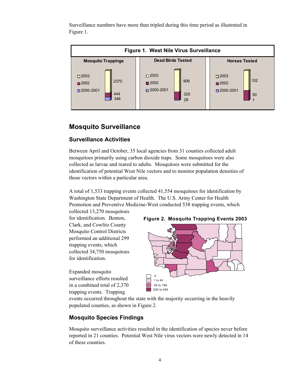Surveillance numbers have more than tripled during this time period as illustrated in Figure 1.



# **Mosquito Surveillance**

## **Surveillance Activities**

Between April and October, 35 local agencies from 31 counties collected adult mosquitoes primarily using carbon dioxide traps. Some mosquitoes were also collected as larvae and reared to adults. Mosquitoes were submitted for the identification of potential West Nile vectors and to monitor population densities of those vectors within a particular area.

A total of 1,533 trapping events collected 41,554 mosquitoes for identification by Washington State Department of Health. The U.S. Army Center for Health Promotion and Preventive Medicine-West conducted 538 trapping events, which collected 13,270 mosquitoes

for identification. Benton, Clark, and Cowlitz County Mosquito Control Districts performed an additional 299 trapping events, which collected 34,750 mosquitoes for identification.

Expanded mosquito surveillance efforts resulted in a combined total of 2,370 trapping events. Trapping



events occurred throughout the state with the majority occurring in the heavily populated counties, as shown in Figure 2.

## **Mosquito Species Findings**

Mosquito surveillance activities resulted in the identification of species never before reported in 21 counties. Potential West Nile virus vectors were newly detected in 14 of these counties.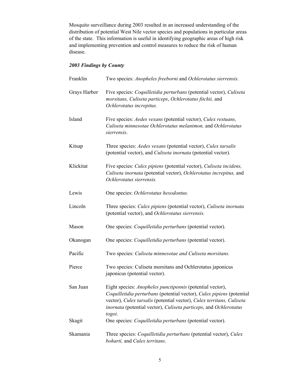Mosquito surveillance during 2003 resulted in an increased understanding of the distribution of potential West Nile vector species and populations in particular areas of the state. This information is useful in identifying geographic areas of high risk and implementing prevention and control measures to reduce the risk of human disease.

#### *2003 Findings by County*

| Franklin     | Two species: Anopheles freeborni and Ochlerotatus sierrensis.                                                                                                                                                                                                                              |
|--------------|--------------------------------------------------------------------------------------------------------------------------------------------------------------------------------------------------------------------------------------------------------------------------------------------|
| Grays Harbor | Five species: Coquilletidia perturbans (potential vector), Culiseta<br>morsitans, Culiseta particeps, Ochlerotatus fitchii, and<br>Ochlerotatus increpitus.                                                                                                                                |
| Island       | Five species: Aedes vexans (potential vector), Culex restuans,<br>Culiseta minnesotae Ochlerotatus melanimon, and Ochlerotatus<br>sierrensis.                                                                                                                                              |
| Kitsap       | Three species: Aedes vexans (potential vector), Culex tarsalis<br>(potential vector), and Culiseta inornata (potential vector).                                                                                                                                                            |
| Klickitat    | Five species: Culex pipiens (potential vector), Culiseta incidens,<br>Culiseta inornata (potential vector), Ochlerotatus increpitus, and<br>Ochlerotatus sierrensis.                                                                                                                       |
| Lewis        | One species: Ochlerotatus hexodontus.                                                                                                                                                                                                                                                      |
| Lincoln      | Three species: Culex pipiens (potential vector), Culiseta inornata<br>(potential vector), and Ochlerotatus sierrensis.                                                                                                                                                                     |
| Mason        | One species: <i>Coquilletidia perturbans</i> (potential vector).                                                                                                                                                                                                                           |
| Okanogan     | One species: Coquilletidia perturbans (potential vector).                                                                                                                                                                                                                                  |
| Pacific      | Two species: Culiseta minnesotae and Culiseta morsitans.                                                                                                                                                                                                                                   |
| Pierce       | Two species: Culiseta morsitans and Ochlerotatus japonicus<br>japonicus (potential vector).                                                                                                                                                                                                |
| San Juan     | Eight species: Anopheles punctipennis (potential vector),<br>Coquilletidia perturbans (potential vector), Culex pipiens (potential<br>vector), Culex tarsalis (potential vector), Culex territans, Culiseta<br>inornata (potential vector), Culiseta particeps, and Ochlerotatus<br>togoi. |
| Skagit       | One species: Coquilletidia perturbans (potential vector).                                                                                                                                                                                                                                  |
| Skamania     | Three species: Coquilletidia perturbans (potential vector), Culex<br>boharti, and Culex territans.                                                                                                                                                                                         |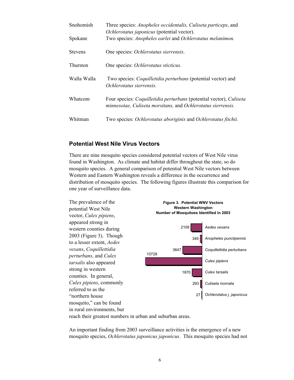| Snohomish      | Three species: Anopheles occidentalis, Culiseta particeps, and<br>Ochlerotatus japonicus (potential vector).                                      |
|----------------|---------------------------------------------------------------------------------------------------------------------------------------------------|
| Spokane        | Two species: Anopheles earlei and Ochlerotatus melanimon.                                                                                         |
| <b>Stevens</b> | One species: Ochlerotatus sierrensis.                                                                                                             |
| Thurston       | One species: Ochlerotatus sticticus.                                                                                                              |
| Walla Walla    | Two species: <i>Coquilletidia perturbans</i> (potential vector) and<br>Ochlerotatus sierrensis.                                                   |
| Whatcom        | Four species: <i>Coquilletidia perturbans</i> (potential vector), <i>Culiseta</i><br>minnesotae, Culiseta morsitans, and Ochlerotatus sierrensis. |
| Whitman        | Two species: Ochlerotatus aboriginis and Ochlerotatus fitchii.                                                                                    |

#### **Potential West Nile Virus Vectors**

There are nine mosquito species considered potential vectors of West Nile virus found in Washington. As climate and habitat differ throughout the state, so do mosquito species. A general comparison of potential West Nile vectors between Western and Eastern Washington reveals a difference in the occurrence and distribution of mosquito species. The following figures illustrate this comparison for one year of surveillance data.



reach their greatest numbers in urban and suburban areas.

An important finding from 2003 surveillance activities is the emergence of a new mosquito species, *Ochlerotatus japonicus japonicus*. This mosquito species had not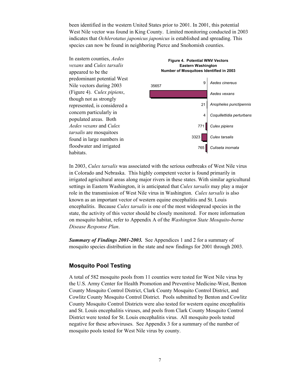been identified in the western United States prior to 2001. In 2001, this potential West Nile vector was found in King County. Limited monitoring conducted in 2003 indicates that *Ochlerotatus japonicus japonicus* is established and spreading. This species can now be found in neighboring Pierce and Snohomish counties.



In 2003, *Culex tarsalis* was associated with the serious outbreaks of West Nile virus in Colorado and Nebraska. This highly competent vector is found primarily in irrigated agricultural areas along major rivers in these states. With similar agricultural settings in Eastern Washington, it is anticipated that *Culex tarsalis* may play a major role in the transmission of West Nile virus in Washington. *Culex tarsalis* is also known as an important vector of western equine encephalitis and St. Louis encephalitis. Because *Culex tarsalis* is one of the most widespread species in the state, the activity of this vector should be closely monitored. For more information on mosquito habitat, refer to Appendix A of the *Washington State Mosquito-borne Disease Response Plan*.

*Summary of Findings 2001-2003.* See Appendices 1 and 2 for a summary of mosquito species distribution in the state and new findings for 2001 through 2003.

#### **Mosquito Pool Testing**

A total of 582 mosquito pools from 11 counties were tested for West Nile virus by the U.S. Army Center for Health Promotion and Preventive Medicine-West, Benton County Mosquito Control District, Clark County Mosquito Control District, and Cowlitz County Mosquito Control District. Pools submitted by Benton and Cowlitz County Mosquito Control Districts were also tested for western equine encephalitis and St. Louis encephalitis viruses, and pools from Clark County Mosquito Control District were tested for St. Louis encephalitis virus. All mosquito pools tested negative for these arboviruses. See Appendix 3 for a summary of the number of mosquito pools tested for West Nile virus by county.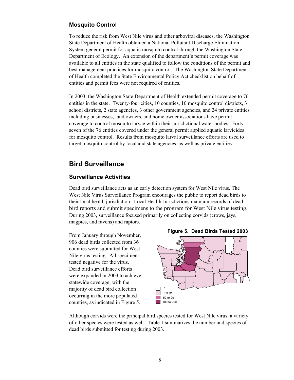#### **Mosquito Control**

To reduce the risk from West Nile virus and other arboviral diseases, the Washington State Department of Health obtained a National Pollutant Discharge Elimination System general permit for aquatic mosquito control through the Washington State Department of Ecology. An extension of the department's permit coverage was available to all entities in the state qualified to follow the conditions of the permit and best management practices for mosquito control. The Washington State Department of Health completed the State Environmental Policy Act checklist on behalf of entities and permit fees were not required of entities.

In 2003, the Washington State Department of Health extended permit coverage to 76 entities in the state. Twenty-four cities, 10 counties, 10 mosquito control districts, 3 school districts, 2 state agencies, 3 other government agencies, and 24 private entities including businesses, land owners, and home owner associations have permit coverage to control mosquito larvae within their jurisdictional water bodies. Fortyseven of the 76 entities covered under the general permit applied aquatic larvicides for mosquito control. Results from mosquito larval surveillance efforts are used to target mosquito control by local and state agencies, as well as private entities.

## **Bird Surveillance**

#### **Surveillance Activities**

Dead bird surveillance acts as an early detection system for West Nile virus. The West Nile Virus Surveillance Program encourages the public to report dead birds to their local health jurisdiction. Local Health Jurisdictions maintain records of dead bird reports and submit specimens to the program for West Nile virus testing. During 2003, surveillance focused primarily on collecting corvids (crows, jays, magpies, and ravens) and raptors.

From January through November, 906 dead birds collected from 36 counties were submitted for West Nile virus testing. All specimens tested negative for the virus. Dead bird surveillance efforts were expanded in 2003 to achieve statewide coverage, with the majority of dead bird collection occurring in the more populated counties, as indicated in Figure 5.



Although corvids were the principal bird species tested for West Nile virus, a variety of other species were tested as well. Table 1 summarizes the number and species of dead birds submitted for testing during 2003.

**Figure 5. Dead Birds Tested 2003**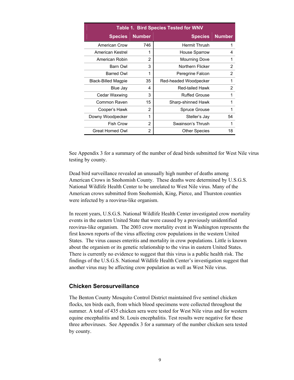|                            |               | <b>Table 1. Bird Species Tested for WNV</b> |               |
|----------------------------|---------------|---------------------------------------------|---------------|
| <b>Species</b>             | <b>Number</b> | <b>Species</b>                              | <b>Number</b> |
| American Crow              | 746           | <b>Hermit Thrush</b>                        | 1             |
| American Kestrel           | 1             | House Sparrow                               | 4             |
| American Robin             | 2             | Mourning Dove                               | 1             |
| Barn Owl                   | 3             | Northern Flicker                            | 2             |
| <b>Barred Owl</b>          | 1             | Peregrine Falcon                            | 2             |
| <b>Black-Billed Magpie</b> | 35            | Red-headed Woodpecker                       | 1             |
| Blue Jay                   | 4             | <b>Red-tailed Hawk</b>                      | 2             |
| Cedar Waxwing              | 3             | <b>Ruffed Grouse</b>                        | 1             |
| Common Raven               | 15            | Sharp-shinned Hawk                          | 1             |
| Cooper's Hawk              | 2             | <b>Spruce Grouse</b>                        | 1             |
| Downy Woodpecker           | 1             | Steller's Jay                               | 54            |
| <b>Fish Crow</b>           | 2             | Swainson's Thrush                           |               |
| Great Horned Owl           | 2             | <b>Other Species</b>                        | 18            |

See Appendix 3 for a summary of the number of dead birds submitted for West Nile virus testing by county.

Dead bird surveillance revealed an unusually high number of deaths among American Crows in Snohomish County. These deaths were determined by U.S.G.S. National Wildlife Health Center to be unrelated to West Nile virus. Many of the American crows submitted from Snohomish, King, Pierce, and Thurston counties were infected by a reovirus-like organism.

In recent years, U.S.G.S. National Wildlife Health Center investigated crow mortality events in the eastern United State that were caused by a previously unidentified reovirus-like organism. The 2003 crow mortality event in Washington represents the first known reports of the virus affecting crow populations in the western United States. The virus causes enteritis and mortality in crow populations. Little is known about the organism or its genetic relationship to the virus in eastern United States. There is currently no evidence to suggest that this virus is a public health risk. The findings of the U.S.G.S. National Wildlife Health Center's investigation suggest that another virus may be affecting crow population as well as West Nile virus.

#### **Chicken Serosurveillance**

The Benton County Mosquito Control District maintained five sentinel chicken flocks, ten birds each, from which blood specimens were collected throughout the summer. A total of 435 chicken sera were tested for West Nile virus and for western equine encephalitis and St. Louis encephalitis. Test results were negative for these three arboviruses. See Appendix 3 for a summary of the number chicken sera tested by county.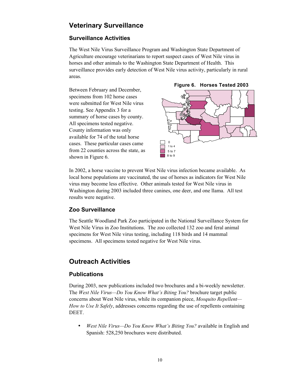# **Veterinary Surveillance**

## **Surveillance Activities**

The West Nile Virus Surveillance Program and Washington State Department of Agriculture encourage veterinarians to report suspect cases of West Nile virus in horses and other animals to the Washington State Department of Health. This surveillance provides early detection of West Nile virus activity, particularly in rural areas.

Between February and December, specimens from 102 horse cases were submitted for West Nile virus testing. See Appendix 3 for a summary of horse cases by county. All specimens tested negative. County information was only available for 74 of the total horse cases. These particular cases came from 22 counties across the state, as shown in Figure 6.





In 2002, a horse vaccine to prevent West Nile virus infection became available. As local horse populations are vaccinated, the use of horses as indicators for West Nile virus may become less effective. Other animals tested for West Nile virus in Washington during 2003 included three canines, one deer, and one llama. All test results were negative.

## **Zoo Surveillance**

The Seattle Woodland Park Zoo participated in the National Surveillance System for West Nile Virus in Zoo Institutions. The zoo collected 132 zoo and feral animal specimens for West Nile virus testing, including 118 birds and 14 mammal specimens. All specimens tested negative for West Nile virus.

# **Outreach Activities**

## **Publications**

During 2003, new publications included two brochures and a bi-weekly newsletter. The *West Nile Virus—Do You Know What's Biting You?* brochure target public concerns about West Nile virus, while its companion piece, *Mosquito Repellent— How to Use It Safely*, addresses concerns regarding the use of repellents containing DEET.

• *West Nile Virus—Do You Know What's Biting You?* available in English and Spanish: 528,250 brochures were distributed.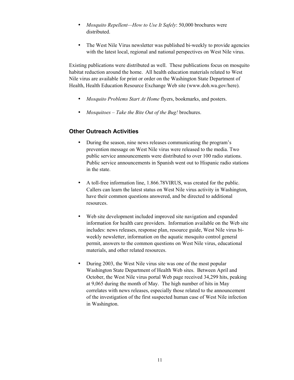- *Mosquito Repellent—How to Use It Safely*: 50,000 brochures were distributed.
- The West Nile Virus newsletter was published bi-weekly to provide agencies with the latest local, regional and national perspectives on West Nile virus.

Existing publications were distributed as well. These publications focus on mosquito habitat reduction around the home. All health education materials related to West Nile virus are available for print or order on the Washington State Department of Health, Health Education Resource Exchange Web site (www.doh.wa.gov/here).

- *Mosquito Problems Start At Home* flyers, bookmarks, and posters.
- *Mosquitoes Take the Bite Out of the Bug!* brochures.

#### **Other Outreach Activities**

- During the season, nine news releases communicating the program's prevention message on West Nile virus were released to the media. Two public service announcements were distributed to over 100 radio stations. Public service announcements in Spanish went out to Hispanic radio stations in the state.
- A toll-free information line, 1.866.78VIRUS, was created for the public. Callers can learn the latest status on West Nile virus activity in Washington, have their common questions answered, and be directed to additional resources.
- Web site development included improved site navigation and expanded information for health care providers. Information available on the Web site includes: news releases, response plan, resource guide, West Nile virus biweekly newsletter, information on the aquatic mosquito control general permit, answers to the common questions on West Nile virus, educational materials, and other related resources.
- During 2003, the West Nile virus site was one of the most popular Washington State Department of Health Web sites. Between April and October, the West Nile virus portal Web page received 34,299 hits, peaking at 9,065 during the month of May. The high number of hits in May correlates with news releases, especially those related to the announcement of the investigation of the first suspected human case of West Nile infection in Washington.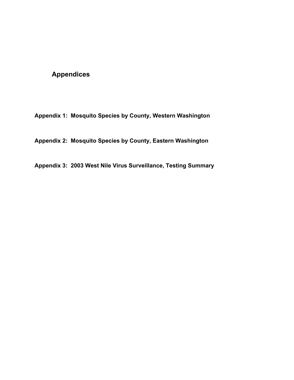# **Appendices**

**Appendix 1: Mosquito Species by County, Western Washington** 

**Appendix 2: Mosquito Species by County, Eastern Washington** 

**Appendix 3: 2003 West Nile Virus Surveillance, Testing Summary**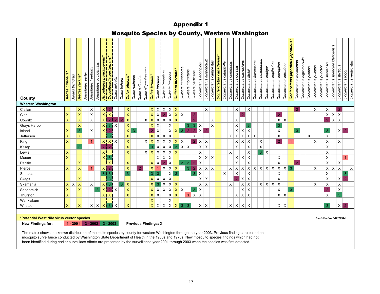### Appendix 1

## Mosquito Species by County, Western Washington

| County                    | cinereus<br>Aedes | Aedes trichurus | Aedes vexans*  | earlei<br>Anopheles | Anopheles freebomi | Anopheles occidentalis | Anopheles punctipennis* | Coquilletidia perturbans* | Culex apicalis            | Culex boharti  | Culex pipiens*            | Culex restuans | Culex salinarius | Culex stigmatasoma | Culex tarsalis          | Culex territans   | Culiseta impatiens        | Culiseta incidens              | Culiseta inornata | Culiseta minnesotae | Culiseta morsitans | Culiseta particeps | Ochlerotatus aboriginis | Ochlerotatus aloponotum | Ochlerotatus campestris | ÷<br>Ochlerotatus canadensis | Ochlerotatus cataphylla | Ochlerotatus communis<br>Ochlerotatus dorsalis | Ochlerotatus excrucians   | Ochlerotatus fitchii      | Ochlerotatus flavescens | Ochlerotatus hexodontus | Ochlerotatus impiger            | Ochlerotatus implicatus | Ochlerotatus increpitus | Ochlerotatus intrudens | Ochlerotatus japonicus japonicus* | Ochlerotatus melanimon | Ochlerotatus nigromaculis | Ochlerotatus pionips | Ochlerotatus pullatus<br>Ochlerotatus punctor | Ochlerotatus sierrensis | Ochlerotatus spencerii idahoensis | Ochlerotatus sticticus | Ochlerotatus togoi | Ochlerotatus ventrovittis |
|---------------------------|-------------------|-----------------|----------------|---------------------|--------------------|------------------------|-------------------------|---------------------------|---------------------------|----------------|---------------------------|----------------|------------------|--------------------|-------------------------|-------------------|---------------------------|--------------------------------|-------------------|---------------------|--------------------|--------------------|-------------------------|-------------------------|-------------------------|------------------------------|-------------------------|------------------------------------------------|---------------------------|---------------------------|-------------------------|-------------------------|---------------------------------|-------------------------|-------------------------|------------------------|-----------------------------------|------------------------|---------------------------|----------------------|-----------------------------------------------|-------------------------|-----------------------------------|------------------------|--------------------|---------------------------|
| <b>Western Washington</b> |                   |                 |                |                     |                    |                        |                         |                           |                           |                |                           |                |                  |                    |                         |                   |                           |                                |                   |                     |                    |                    |                         |                         |                         |                              |                         |                                                |                           |                           |                         |                         |                                 |                         |                         |                        |                                   |                        |                           |                      |                                               |                         |                                   |                        |                    |                           |
| Clallam                   |                   |                 | X              |                     | X                  |                        | $\mathsf{X}$            | $\overline{2}$            |                           |                | X                         |                |                  |                    |                         |                   |                           | $X$ $X$ $X$ $X$                |                   |                     |                    |                    |                         | X                       |                         |                              |                         |                                                | X                         | X                         |                         |                         |                                 |                         |                         |                        |                                   | $\overline{2}$         |                           |                      | X                                             | X                       |                                   | $\overline{2}$         |                    |                           |
| Clark                     | $\mathsf{X}$      |                 | $\mathsf{X}$   |                     | $\pmb{\times}$     |                        | $X$ $X$                 |                           |                           |                | $\mathsf X$               |                |                  |                    | $x \mid x$              |                   |                           | $2$ $\times$ $\times$ $\times$ |                   |                     |                    | $\overline{2}$     |                         |                         |                         |                              |                         |                                                | $\overline{2}$            |                           |                         |                         |                                 |                         | $\overline{2}$          |                        |                                   |                        |                           |                      |                                               |                         |                                   | $x \mid x \mid x$      |                    |                           |
| Cowlitz                   | $\mathsf{x}$      |                 | X              |                     | $\times$           |                        | $\mathsf{X}$            | $\overline{2}$            | $\overline{2}$            | $\overline{2}$ | $\boldsymbol{\mathsf{X}}$ |                |                  | X                  | $\vert x \vert$         | $\mathsf{X}$      | $\boldsymbol{\mathsf{X}}$ | $x \mid x$                     |                   |                     |                    | $\overline{2}$     |                         |                         | $\pmb{\times}$          |                              |                         | X                                              |                           |                           |                         |                         |                                 |                         | $\mathsf{X}$            | $\mathsf{X}$           |                                   |                        |                           |                      |                                               | $\overline{2}$          | $\overline{\mathsf{x}}$           | $\times$               |                    |                           |
| Grays Harbor              |                   |                 | $\mathsf{x}$   |                     |                    |                        | $\vert x \vert$         | $\overline{3}$            | $\boldsymbol{\mathsf{X}}$ |                | X                         |                |                  |                    | $x \mid x$              |                   |                           | X                              |                   |                     | 3                  | 3                  | Χ                       |                         | $\mathsf X$             |                              |                         | $\pmb{\mathsf{X}}$                             |                           | 3                         |                         |                         |                                 |                         | 3                       |                        |                                   |                        |                           |                      |                                               |                         |                                   |                        |                    |                           |
| Island                    | $\mathsf{X}$      |                 | 3 <sub>1</sub> |                     | X                  |                        | $\mathsf{X}$            | $\overline{2}$            |                           |                | x                         | 3              |                  |                    | 2 <sup>1</sup>          | $\mathsf{X}$      |                           | $x \mid x$                     |                   | 3                   | $\overline{2}$     | $\overline{2}$     | $X \mid 2$              |                         |                         |                              |                         |                                                | $x \mid x$                | $\mathsf X$               |                         |                         |                                 |                         | $\pmb{\times}$          |                        |                                   | 3                      |                           |                      |                                               | 3                       |                                   |                        | $x \mid 2$         |                           |
| Jefferson                 | X                 |                 | $\mathsf{X}$   |                     |                    |                        |                         | 3                         |                           |                | $\mathsf{x}$              |                |                  |                    |                         | $x \mid x \mid x$ |                           | X                              |                   |                     |                    | X                  |                         |                         |                         |                              |                         | $x \mid x$                                     | X                         |                           | $x \mid x$              |                         |                                 |                         | X                       |                        |                                   |                        |                           | $\times$             |                                               | $\times$                |                                   |                        |                    |                           |
| King                      | X                 |                 |                |                     |                    |                        |                         | x   x   x                 |                           |                | $\mathsf{x}$              |                |                  | X                  | $\vert x \vert$         | $X$ $X$           |                           | $x \mid x \mid x$              |                   |                     |                    | 2 <sup>7</sup>     | $x \mid x$              |                         |                         |                              |                         |                                                | $x \mid x$                | $\mathsf{X}$              |                         | X                       |                                 |                         | $\overline{2}$          |                        |                                   |                        |                           |                      | X                                             | X                       |                                   | X                      |                    |                           |
| Kitsap                    |                   |                 | 3              |                     |                    |                        | $2+$                    | $\overline{2}$            |                           |                | $\mathsf{X}$              |                |                  |                    | $3 \times$              |                   | $\mathsf X$               | $\mathsf X$                    | $3 \times$        |                     | $\times$           |                    | $\mathsf{x}$            | $\times$                |                         |                              |                         | X                                              |                           | X                         |                         | $\mathsf X$             |                                 |                         |                         |                        |                                   |                        |                           |                      |                                               | X                       |                                   |                        |                    |                           |
| Lewis                     | $\mathsf{x}$      |                 |                |                     |                    |                        | x <sub>1</sub>          |                           |                           |                | $\overline{\mathsf{x}}$   |                |                  |                    | $x \mid x \mid x$       |                   |                           | $x \mid x \mid x$              |                   |                     |                    |                    | X                       |                         |                         |                              |                         | X                                              |                           | X                         |                         |                         | $3 \times$                      |                         |                         |                        |                                   |                        |                           |                      |                                               | $\mathsf X$             |                                   |                        |                    |                           |
| Mason                     | $\mathsf{x}$      |                 |                |                     |                    |                        | $\times$                | 3                         |                           |                |                           |                |                  |                    |                         | $x \times x$      |                           |                                |                   |                     |                    |                    |                         | $x \mid x \mid x$       |                         |                              |                         |                                                | $x \mid x$                | $\mathsf{X}$              |                         |                         |                                 |                         | $\pmb{\times}$          |                        |                                   |                        |                           |                      |                                               | X                       |                                   |                        | $\overline{1}$     |                           |
| Pacific                   |                   |                 | $\mathsf{X}$   |                     |                    |                        |                         | $\mathsf{I} \mathsf{X}$   |                           |                | $\mathsf{x}$              |                |                  |                    | $x \mid x$              |                   | $\overline{2}$            | $\mathsf{I} \mathsf{x}$        |                   | 3                   | $\overline{3}$     |                    | X                       |                         |                         |                              |                         | $\sf X$                                        |                           | X                         |                         |                         |                                 |                         | $\mathsf{X}$            |                        |                                   | $\overline{2}$         |                           |                      |                                               | $\pmb{\times}$          |                                   | $\mathsf X$            |                    |                           |
| Pierce                    | $\mathsf{X}$      |                 | $\mathsf{X}$   |                     |                    |                        | x 2                     |                           |                           |                | $\overline{\mathsf{x}}$   |                | $\mathcal{P}$    |                    | $\vert x \vert$         | $1 \times$        |                           | $\mathsf{x}$                   | $\mathsf{X}$      |                     | 3                  |                    | $\times$                | $x \mid x$              |                         |                              |                         | x   x   x                                      |                           |                           |                         |                         | $x \mid x \mid x \mid x \mid x$ |                         | $x \mid x \mid$         |                        | -3                                |                        |                           |                      | X                                             |                         | $X$ $X$                           | $\mathsf{X}$           |                    | $\pmb{\times}$            |
| San Juan                  |                   |                 |                |                     |                    |                        | 3 <sup>1</sup>          | $\overline{3}$            |                           |                | 3                         |                |                  |                    | 3 <sup>1</sup>          | 3                 |                           | $\mathsf{x}$                   | 3                 |                     |                    | 3                  | X                       |                         |                         |                              | X                       | X                                              |                           | X                         |                         |                         |                                 |                         | $\pmb{\mathsf{X}}$      |                        |                                   |                        |                           |                      |                                               | $\mathsf{X}$            |                                   |                        | 3                  |                           |
| Skagit                    |                   |                 | $\mathsf{X}$   |                     |                    |                        |                         | 3                         |                           |                |                           |                |                  |                    |                         | $x \times x$      |                           | X                              |                   |                     |                    |                    | $x \mid x$              |                         |                         |                              |                         | $\overline{2}$                                 | $\pmb{\times}$            | $\boldsymbol{\mathsf{X}}$ |                         |                         |                                 |                         | $\mathsf{X}$            |                        |                                   |                        |                           |                      |                                               | X                       |                                   | $\mathsf X$            | $\overline{2}$     |                           |
| Skamania                  | $x \mid x$        |                 | $\mathsf X$    |                     | $\pmb{\times}$     |                        | $\mathsf X$             | 3                         |                           | $3 \mid X$     |                           |                |                  |                    | $\mathsf{x}$            | 3 <sup>°</sup>    | $\sf X$                   | $x \mid x$                     |                   |                     |                    |                    | $x \mid x$              |                         |                         |                              |                         | X                                              | $\boldsymbol{\mathsf{X}}$ | $\mathsf{X}$              |                         |                         | $x \mid x \mid x$               |                         | $\times$                |                        |                                   |                        |                           |                      | $\mathsf X$                                   | $\mathsf X$             |                                   | X                      |                    |                           |
| Snohomish                 | $\mathsf X$       |                 | $\mathsf{X}$   |                     |                    | $\bullet$              | $\mathsf{X}$            | $\overline{2}$            | X                         |                | $\bar{\mathsf{X}}$        |                |                  |                    | $\mathsf{x}$            | $\times$          | $\times$                  | $\mathbf{x}$                   | $X$ $X$           |                     |                    | $3 \mid X$         |                         |                         |                         |                              |                         |                                                |                           | $x \mid x$                |                         |                         |                                 |                         | X                       |                        | 3                                 |                        |                           |                      |                                               | $\overline{2}$          |                                   | X                      |                    |                           |
| Thurston                  | $\mathsf{X}$      |                 |                |                     |                    |                        | XX                      |                           |                           |                | $\mathsf{x}$              |                |                  |                    | $X$ $X$                 |                   |                           | $x \mid x$                     |                   |                     |                    | $1$ $X$ $X$        |                         |                         |                         |                              |                         |                                                |                           | $x \mid x \mid x$         |                         |                         |                                 |                         | $x \mid x$              |                        |                                   |                        |                           |                      |                                               | X                       |                                   | $\overline{3}$         |                    |                           |
| Wahkiakum                 |                   |                 |                |                     |                    |                        |                         |                           |                           |                |                           |                |                  |                    | $\overline{\mathsf{X}}$ |                   |                           | $\mathsf X$                    |                   |                     |                    |                    |                         |                         |                         |                              |                         |                                                |                           |                           |                         |                         |                                 |                         |                         |                        |                                   |                        |                           |                      |                                               |                         |                                   |                        |                    |                           |
| Whatcom                   | $\mathsf{X}$      |                 | $\mathsf{X}$   |                     |                    | $x \mid x$             | $\mathsf{X}$            | 3                         | $\times$                  |                | $\mathsf{X}$              |                |                  |                    |                         | $X$ $X$ $X$       |                           | $X$ $X$                        |                   | 3 <sup>°</sup>      | 3                  |                    | $x \mid x$              |                         |                         |                              |                         | $x \mid x \mid$                                |                           | $x \mid x$                |                         |                         |                                 |                         | $x \mid x$              |                        |                                   |                        |                           |                      |                                               | $\overline{3}$          |                                   |                        | $X$ 2              |                           |
|                           |                   |                 |                |                     |                    |                        |                         |                           |                           |                |                           |                |                  |                    |                         |                   |                           |                                |                   |                     |                    |                    |                         |                         |                         |                              |                         |                                                |                           |                           |                         |                         |                                 |                         |                         |                        |                                   |                        |                           |                      |                                               |                         |                                   |                        |                    |                           |

#### **\*Potential West Nile virus vector species.**

 **New Findings for: Previous Findings: X 1 - 2001 2 - 2002 3 - 2003**

 The matrix shows the known distribution of mosquito species by county for western Washington through the year 2003. Previous findings are based on mosquito surveillance conducted by Washington State Department of Health in the 1960s and 1970s. New mosquito species findings which had not been identified during earlier surveillace efforts are presented by the surveillance year 2001 through 2003 when the species was first detected.

*Last Revised 07/27/04*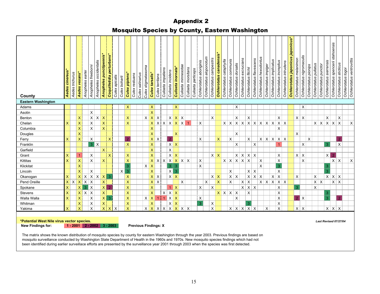|                           | ~,<br>.<br>י פי           |                 |                           |                  |                    |                        |                           |                           |                |               |                                        |                  |                    |                           |                 |                    |                         |                           |                     |                    |                    |                         |                            |                         |                          |                         |                       |                           |                            |                                                 |                         |                      |                         |                         |                        |                                   |                        |                           |                      |                       |                      |                            |                                   |                        |                                                 |
|---------------------------|---------------------------|-----------------|---------------------------|------------------|--------------------|------------------------|---------------------------|---------------------------|----------------|---------------|----------------------------------------|------------------|--------------------|---------------------------|-----------------|--------------------|-------------------------|---------------------------|---------------------|--------------------|--------------------|-------------------------|----------------------------|-------------------------|--------------------------|-------------------------|-----------------------|---------------------------|----------------------------|-------------------------------------------------|-------------------------|----------------------|-------------------------|-------------------------|------------------------|-----------------------------------|------------------------|---------------------------|----------------------|-----------------------|----------------------|----------------------------|-----------------------------------|------------------------|-------------------------------------------------|
| County                    | <b>Aedes cinereus*</b>    | Aedes trichurus | Aedes vexans*             | Anopheles earlei | Anopheles freebomi | Anopheles occidentalis | Anopheles punctipennis*   | Coquilletidia perturbans* | Culex apicalis | Culex boharti | Culex restuans<br><b>Culex pipiens</b> | Culex salinarius | Culex stigmatasoma | Culex tarsalis*           | Culex territans | Culiseta impatiens | Culiseta incidens       | Culiseta inornata*        | Culiseta minnesotae | Culiseta morsitans | Culiseta particeps | Ochlerotatus aboriginis | aloponotum<br>Ochlerotatus | Ochlerotatus campestris | Ochlerotatus canadensis  | Ochlerotatus cataphylla | Ochlerotatus communis | Ochlerotatus dorsalis     | excrucians<br>Ochlerotatus | Ochlerotatus flavescens<br>Ochlerotatus fitchii | Ochlerotatus hexodontus | Ochlerotatus impiger | Ochlerotatus implicatus | Ochlerotatus increpitus | Ochlerotatus intrudens | Ochlerotatus japonicus japonicus* | Ochlerotatus melanimon | Ochlerotatus nigromaculis | Ochlerotatus pionips | Ochlerotatus pullatus | Ochlerotatus punctor | sierrensis<br>Ochlerotatus | Ochlerotatus spencerii idahoensis | Ochlerotatus sticticus | Ochlerotatus ventrovittis<br>Ochlerotatus togoi |
| <b>Eastern Washington</b> |                           |                 |                           |                  |                    |                        |                           |                           |                |               |                                        |                  |                    |                           |                 |                    |                         |                           |                     |                    |                    |                         |                            |                         |                          |                         |                       |                           |                            |                                                 |                         |                      |                         |                         |                        |                                   |                        |                           |                      |                       |                      |                            |                                   |                        |                                                 |
| Adams                     |                           |                 |                           |                  |                    |                        |                           |                           |                |               | $\mathsf{X}$                           |                  |                    | $\boldsymbol{\mathsf{X}}$ |                 |                    |                         | $\mathsf{X}$              |                     |                    |                    |                         |                            |                         |                          |                         |                       | X                         |                            |                                                 |                         |                      |                         |                         |                        |                                   |                        | X                         |                      |                       |                      |                            |                                   |                        |                                                 |
| Asotin                    |                           |                 |                           |                  | $\pmb{\times}$     |                        |                           |                           |                |               |                                        |                  |                    | $\bar{\mathsf{X}}$        |                 |                    |                         |                           |                     |                    |                    |                         |                            |                         |                          |                         |                       |                           |                            |                                                 |                         |                      |                         |                         |                        |                                   |                        |                           |                      |                       |                      |                            |                                   |                        |                                                 |
| Benton                    |                           |                 | X                         |                  |                    | $x \mid x \mid x$      |                           |                           |                |               | X                                      |                  |                    |                           | $X$ $X$ $X$     |                    | $\mathsf{X}$            | $X$ $X$                   |                     |                    |                    |                         |                            | X                       |                          |                         |                       | X                         |                            | X                                               |                         |                      |                         | X                       |                        |                                   | $x \mid x$             |                           |                      |                       |                      | X                          |                                   | X                      |                                                 |
| Chelan                    | $\mathsf{x}$              |                 | $\mathsf{x}$              |                  | X                  |                        | $\mathsf{X}$              |                           |                |               | $\mathsf{X}$                           |                  |                    |                           |                 |                    | $x$ x x $x$ $x$ $x$ $x$ |                           |                     |                    |                    | X                       |                            |                         |                          |                         |                       |                           |                            | x   x   x   x   x   x   x   x   x               |                         |                      |                         |                         | $x \mid x$             |                                   |                        |                           |                      |                       | x   x   x   x   x    |                            |                                   |                        | X                                               |
| Columbia                  |                           |                 | $\mathsf{x}$              |                  | $\pmb{\times}$     |                        | X.                        |                           |                |               |                                        |                  |                    | X                         |                 |                    |                         |                           |                     |                    |                    |                         |                            |                         |                          |                         |                       |                           |                            |                                                 |                         |                      |                         | $\pmb{\times}$          |                        |                                   |                        |                           |                      |                       |                      |                            |                                   |                        |                                                 |
| Douglas                   |                           |                 | $\mathsf{x}$              |                  |                    |                        |                           |                           |                |               |                                        |                  |                    | $\mathsf{x}$              |                 |                    |                         | $\pmb{\times}$            |                     |                    |                    |                         |                            |                         |                          |                         |                       | X                         |                            |                                                 |                         |                      |                         |                         |                        |                                   | X                      |                           |                      |                       |                      |                            |                                   |                        |                                                 |
| Ferry                     | $\mathsf{x}$              |                 | $\mathsf{x}$              |                  | $\sf X$            |                        |                           | $\boldsymbol{\mathsf{X}}$ |                |               | 2 <sup>1</sup>                         |                  |                    |                           | $x \mid x$      |                    | $\overline{2}$          |                           |                     |                    |                    | $\sf X$                 |                            |                         | $\mathsf{X}$             |                         | X                     |                           |                            | X                                               |                         |                      | $x \mid x \mid x$       |                         | $x \mid x$             |                                   |                        |                           | X                    |                       |                      |                            |                                   | $\overline{2}$         |                                                 |
| Franklin                  |                           |                 |                           |                  |                    | 3x                     |                           |                           |                |               | $\mathsf{X}$                           |                  |                    | $\mathsf{x}$              |                 |                    | $\mathsf{x}$            | $\boldsymbol{\mathsf{X}}$ |                     |                    |                    |                         |                            |                         |                          |                         |                       | X                         |                            | $\times$                                        |                         |                      |                         | $\overline{1}$          |                        |                                   |                        | $\pmb{\times}$            |                      |                       |                      | 3                          |                                   | $\pmb{\times}$         |                                                 |
| Garfield                  |                           |                 |                           |                  |                    |                        | $\mathsf{X}$              |                           |                |               |                                        |                  |                    | $\mathsf{x}$              |                 |                    | $\mathsf X$             |                           |                     |                    |                    |                         |                            |                         |                          |                         |                       |                           |                            |                                                 |                         |                      |                         |                         |                        |                                   |                        |                           |                      |                       |                      |                            |                                   |                        |                                                 |
| Grant                     | $\mathsf{x}$              |                 | $\mathbf{1}$              |                  | X                  |                        |                           | $\boldsymbol{\mathsf{x}}$ |                |               | $\mathsf{X}$                           |                  |                    | $\overline{\mathsf{x}}$   |                 |                    | $x \mid x$              |                           |                     |                    |                    |                         |                            | $X$ $X$                 |                          |                         |                       |                           |                            | $x \mid x \mid x \mid x$                        |                         |                      |                         | X                       |                        |                                   | $x \mid x$             |                           |                      |                       |                      | $x \mid$                   | $\overline{2}$                    |                        |                                                 |
| Kittitas                  | $\overline{\mathsf{x}}$   |                 | $\pmb{\mathsf{X}}$        |                  | $\pmb{\times}$     |                        | $\mathsf{x}$              |                           |                |               | $\boldsymbol{\mathsf{X}}$              |                  |                    |                           |                 |                    | $x \times x \times x$   |                           |                     |                    |                    | $\sf X$                 |                            |                         |                          | $x \mid x \mid$         |                       | $\mathsf{X}$              | $\vert x \vert$            | X                                               | $\pmb{\times}$          |                      |                         | $\pmb{\times}$          |                        |                                   |                        | X                         |                      |                       |                      |                            | $x \mid x$                        |                        | $\pmb{\times}$                                  |
| Klickitat                 |                           |                 | X                         |                  |                    |                        |                           |                           |                |               | $\overline{3}$                         |                  |                    | $X \mid X$                |                 |                    | 3                       | $\overline{3}$            |                     |                    |                    | $\sf X$                 |                            |                         |                          |                         |                       |                           |                            |                                                 | $\mathsf{X}$            |                      |                         | $\overline{3}$          |                        |                                   |                        |                           |                      |                       |                      | 3                          |                                   |                        |                                                 |
| Lincoln                   |                           |                 | $\mathsf{X}$              |                  | $\mathsf{X}$       |                        |                           |                           |                | $\mathsf{x}$  | $\overline{3}$                         |                  |                    | $\mathsf X$               |                 |                    | x                       | 3                         |                     |                    |                    |                         |                            |                         |                          |                         | X                     |                           |                            | $x \mid x$                                      |                         |                      |                         | $\pmb{\times}$          |                        |                                   |                        |                           |                      |                       |                      | $\overline{3}$             |                                   |                        |                                                 |
| Okanogan                  | $\mathsf{x}$              |                 | $\mathsf{X}$              | X                | $\mathsf{x}$       | x                      | $\mathsf{X}$              | 3                         |                |               | $\mathsf{X}$                           |                  |                    |                           | $x \mid x$      |                    | $\mathsf{x}$            | $\mathsf{X}$              |                     |                    |                    |                         |                            | $X$ $X$                 |                          |                         | $\vert x \vert$       | $\times$                  |                            | $\mathsf{x}$<br>$\vert x \vert$                 | $\mathsf{X}$            |                      | X                       | $\mathsf X$             |                        |                                   | X                      |                           |                      | X                     |                      | $x \mid x \mid x$          |                                   |                        |                                                 |
| Pend Oreille              |                           | $X$ $X$         | $\mathsf{X}$              | $x \mid x$       |                    |                        | $\mathsf{X}$              |                           |                |               | $\boldsymbol{\mathsf{X}}$              |                  |                    |                           | $x \mid x$      |                    |                         |                           | X                   |                    |                    |                         | $\sf X$                    |                         | $\mathsf{x}$             |                         | X                     |                           | $x \mid x$                 |                                                 |                         |                      | $x \mid x \mid x$       |                         | $x \mid x$             |                                   |                        |                           |                      | $x \mid x$            |                      |                            | $x \mid x$                        |                        |                                                 |
| Spokane                   | $\mathsf{x}$              |                 | $\mathsf X$               | $\overline{3}$   | $\mathsf{X}$       |                        | $\vert x \vert$           | $\overline{2}$            |                |               | $\boldsymbol{\mathsf{X}}$              |                  |                    | $\mathsf{x}$              |                 |                    | $\overline{1}$          | $\mathbf{x}$              |                     |                    |                    | $\pmb{\times}$          |                            | X                       |                          |                         |                       |                           |                            | $x \mid x \mid x$                               |                         |                      |                         | $\mathsf X$             |                        |                                   | 3                      |                           |                      | X                     |                      |                            |                                   |                        |                                                 |
| Stevens                   | $\mathsf{x}$              |                 | $\mathsf{X}$              | $x \mid x$       |                    |                        | $\mathsf{X}$              |                           |                |               | $\boldsymbol{\mathsf{X}}$              |                  |                    | $\overline{\mathsf{x}}$   |                 |                    | $x \mid x$              | $\boldsymbol{\mathsf{X}}$ |                     |                    |                    |                         |                            |                         | $x \mid x \mid x \mid x$ |                         |                       |                           |                            | $\pmb{\times}$                                  |                         |                      |                         | $\pmb{\times}$          |                        |                                   |                        |                           |                      |                       |                      | 3                          |                                   |                        |                                                 |
| Walla Walla               | $\mathsf{x}$              |                 | $\boldsymbol{\mathsf{X}}$ |                  | X                  |                        | $\vert x \vert$           | 3                         |                |               | $\boldsymbol{\mathsf{X}}$              |                  |                    | $x \mid x \mid$           | $\overline{1}$  | $\overline{1}$     | $\mathsf{X}$            | $\boldsymbol{\mathsf{X}}$ |                     |                    |                    | $\mathsf X$             |                            |                         |                          |                         |                       | $\sf X$                   |                            |                                                 |                         |                      |                         | $\pmb{\times}$          |                        |                                   |                        | $2$ X                     |                      |                       |                      | 3 <sup>1</sup>             |                                   | $\overline{2}$         |                                                 |
| Whitman                   |                           |                 | X                         |                  | X                  |                        | $\boldsymbol{\mathsf{x}}$ |                           |                |               | X                                      |                  |                    | X                         |                 |                    | X                       | $\boldsymbol{\mathsf{X}}$ |                     |                    |                    | 3                       |                            | X                       |                          |                         |                       |                           |                            | 3                                               |                         |                      |                         | X                       |                        |                                   |                        |                           |                      |                       |                      |                            |                                   |                        |                                                 |
| Yakima                    | $\boldsymbol{\mathsf{x}}$ |                 | $\overline{\mathsf{x}}$   |                  | $\pmb{\times}$     |                        | $\mathsf{x}$              | X                         | X              |               | $\mathsf{X}$                           |                  |                    | $X$ $X$                   |                 | $x \times  x $     |                         | $x \mid x \mid x$         |                     |                    |                    |                         |                            | X                       |                          |                         | $\times$              | $\boldsymbol{\mathsf{X}}$ | $\boldsymbol{\mathsf{X}}$  | $\vert x \vert$<br>$\times$                     |                         | X                    |                         | X                       |                        |                                   | $X \mid X$             |                           |                      |                       |                      | X X                        |                                   | $\times$               |                                                 |
|                           |                           |                 |                           |                  |                    |                        |                           |                           |                |               |                                        |                  |                    |                           |                 |                    |                         |                           |                     |                    |                    |                         |                            |                         |                          |                         |                       |                           |                            |                                                 |                         |                      |                         |                         |                        |                                   |                        |                           |                      |                       |                      |                            |                                   |                        |                                                 |

## Appendix 2 Mosquito Species by County, Eastern Washington

**\*Potential West Nile virus vector species.** 

 **New Findings for: Previous Findings: X 1 - 2001 2 - 2002 3 - 2003**

*Last Revised 07/27/04*

 The matrix shows the known distribution of mosquito species by county for eastern Washington through the year 2003. Previous findings are based on mosquito surveillance conducted by Washington State Department of Health in the 1960s and 1970s. New mosquito species findings which had not been identified during earlier surveillace efforts are presented by the surveillance year 2001 through 2003 when the species was first detected.